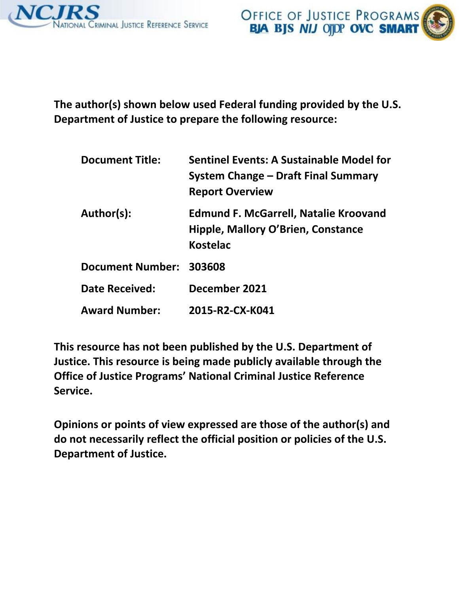



**The author(s) shown below used Federal funding provided by the U.S. Department of Justice to prepare the following resource:** 

| <b>Document Title:</b>  | <b>Sentinel Events: A Sustainable Model for</b><br>System Change – Draft Final Summary<br><b>Report Overview</b> |
|-------------------------|------------------------------------------------------------------------------------------------------------------|
| Author(s):              | <b>Edmund F. McGarrell, Natalie Kroovand</b><br>Hipple, Mallory O'Brien, Constance<br><b>Kostelac</b>            |
| Document Number: 303608 |                                                                                                                  |
| Date Received:          | December 2021                                                                                                    |
| <b>Award Number:</b>    | 2015-R2-CX-K041                                                                                                  |

**This resource has not been published by the U.S. Department of Justice. This resource is being made publicly available through the Office of Justice Programs' National Criminal Justice Reference Service.** 

**Opinions or points of view expressed are those of the author(s) and do not necessarily reflect the official position or policies of the U.S. Department of Justice.**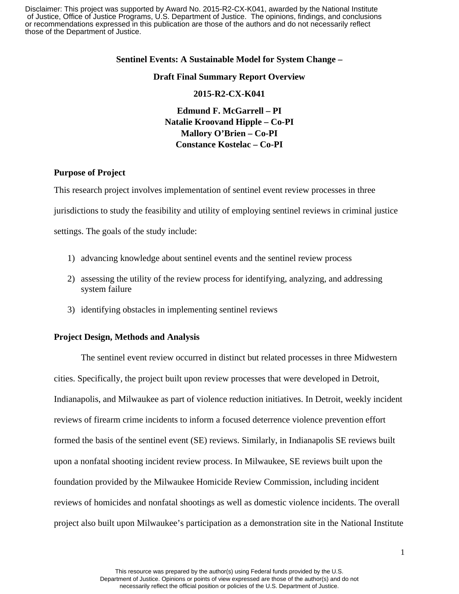Disclaimer: This project was supported by Award No. 2015-R2-CX-K041, awarded by the National Institute of Justice, Office of Justice Programs, U.S. Department of Justice. The opinions, findings, and conclusions or recommendations expressed in this publication are those of the authors and do not necessarily reflect those of the Department of Justice.

#### **Sentinel Events: A Sustainable Model for System Change –**

#### **Draft Final Summary Report Overview**

#### **2015-R2-CX-K041**

 **Edmund F. McGarrell – PI Natalie Kroovand Hipple – Co-PI Mallory O'Brien – Co-PI Constance Kostelac – Co-PI** 

#### **Purpose of Project**

This research project involves implementation of sentinel event review processes in three

jurisdictions to study the feasibility and utility of employing sentinel reviews in criminal justice

settings. The goals of the study include:

- 1) advancing knowledge about sentinel events and the sentinel review process
- 2) assessing the utility of the review process for identifying, analyzing, and addressing system failure
- 3) identifying obstacles in implementing sentinel reviews

#### **Project Design, Methods and Analysis**

 reviews of firearm crime incidents to inform a focused deterrence violence prevention effort formed the basis of the sentinel event (SE) reviews. Similarly, in Indianapolis SE reviews built foundation provided by the Milwaukee Homicide Review Commission, including incident project also built upon Milwaukee's participation as a demonstration site in the National Institute The sentinel event review occurred in distinct but related processes in three Midwestern cities. Specifically, the project built upon review processes that were developed in Detroit, Indianapolis, and Milwaukee as part of violence reduction initiatives. In Detroit, weekly incident upon a nonfatal shooting incident review process. In Milwaukee, SE reviews built upon the reviews of homicides and nonfatal shootings as well as domestic violence incidents. The overall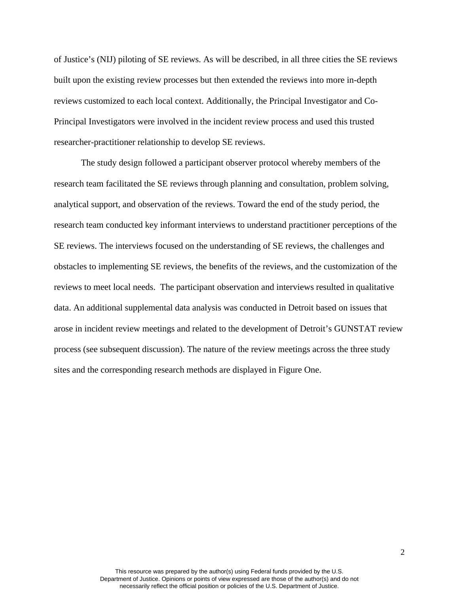built upon the existing review processes but then extended the reviews into more in-depth of Justice's (NIJ) piloting of SE reviews. As will be described, in all three cities the SE reviews reviews customized to each local context. Additionally, the Principal Investigator and Co-Principal Investigators were involved in the incident review process and used this trusted researcher-practitioner relationship to develop SE reviews.

 The study design followed a participant observer protocol whereby members of the research team conducted key informant interviews to understand practitioner perceptions of the reviews to meet local needs. The participant observation and interviews resulted in qualitative process (see subsequent discussion). The nature of the review meetings across the three study research team facilitated the SE reviews through planning and consultation, problem solving, analytical support, and observation of the reviews. Toward the end of the study period, the SE reviews. The interviews focused on the understanding of SE reviews, the challenges and obstacles to implementing SE reviews, the benefits of the reviews, and the customization of the data. An additional supplemental data analysis was conducted in Detroit based on issues that arose in incident review meetings and related to the development of Detroit's GUNSTAT review sites and the corresponding research methods are displayed in Figure One.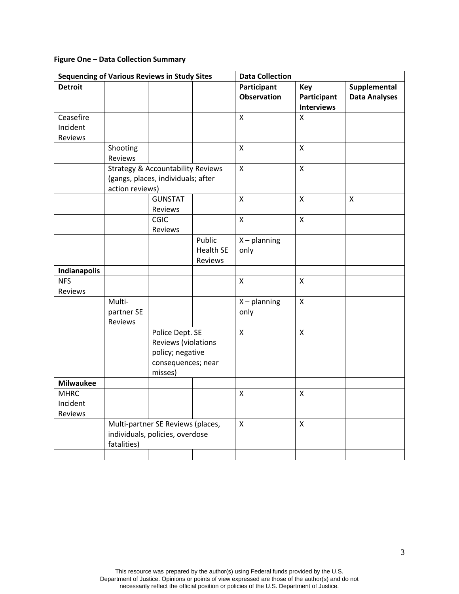## **Figure One – Data Collection Summary**

| <b>Sequencing of Various Reviews in Study Sites</b> |                                              |                     | <b>Data Collection</b> |                                   |                    |                                      |
|-----------------------------------------------------|----------------------------------------------|---------------------|------------------------|-----------------------------------|--------------------|--------------------------------------|
| <b>Detroit</b>                                      |                                              |                     |                        | Participant<br><b>Observation</b> | Key<br>Participant | Supplemental<br><b>Data Analyses</b> |
|                                                     |                                              |                     |                        |                                   | <b>Interviews</b>  |                                      |
| Ceasefire                                           |                                              |                     |                        | $\mathsf{X}$                      | $\overline{X}$     |                                      |
| Incident                                            |                                              |                     |                        |                                   |                    |                                      |
| Reviews                                             |                                              |                     |                        |                                   |                    |                                      |
|                                                     | Shooting                                     |                     |                        | $\pmb{\mathsf{X}}$                | $\mathsf{X}$       |                                      |
|                                                     | Reviews                                      |                     |                        |                                   |                    |                                      |
|                                                     | <b>Strategy &amp; Accountability Reviews</b> |                     |                        | $\mathsf{X}$                      | $\mathsf{X}$       |                                      |
|                                                     | (gangs, places, individuals; after           |                     |                        |                                   |                    |                                      |
|                                                     | action reviews)                              |                     |                        |                                   |                    |                                      |
|                                                     |                                              | <b>GUNSTAT</b>      |                        | $\mathsf{X}$                      | $\pmb{\mathsf{X}}$ | X                                    |
|                                                     |                                              | Reviews             |                        |                                   |                    |                                      |
|                                                     |                                              | CGIC                |                        | $\mathsf X$                       | $\mathsf{X}$       |                                      |
|                                                     |                                              | Reviews             |                        |                                   |                    |                                      |
|                                                     |                                              |                     | Public                 | $X$ – planning                    |                    |                                      |
|                                                     |                                              |                     | <b>Health SE</b>       | only                              |                    |                                      |
|                                                     |                                              |                     | Reviews                |                                   |                    |                                      |
| Indianapolis                                        |                                              |                     |                        |                                   |                    |                                      |
| <b>NFS</b>                                          |                                              |                     |                        | X                                 | X                  |                                      |
| Reviews                                             |                                              |                     |                        |                                   |                    |                                      |
|                                                     | Multi-                                       |                     |                        | $X$ – planning                    | X                  |                                      |
|                                                     | partner SE                                   |                     |                        | only                              |                    |                                      |
|                                                     | Reviews                                      |                     |                        |                                   |                    |                                      |
|                                                     |                                              | Police Dept. SE     |                        | $\pmb{\times}$                    | $\mathsf{x}$       |                                      |
|                                                     |                                              | Reviews (violations |                        |                                   |                    |                                      |
|                                                     |                                              | policy; negative    |                        |                                   |                    |                                      |
|                                                     |                                              | consequences; near  |                        |                                   |                    |                                      |
| <b>Milwaukee</b>                                    |                                              | misses)             |                        |                                   |                    |                                      |
| <b>MHRC</b>                                         |                                              |                     |                        | $\mathsf{X}$                      | X                  |                                      |
| Incident                                            |                                              |                     |                        |                                   |                    |                                      |
| Reviews                                             |                                              |                     |                        |                                   |                    |                                      |
|                                                     | Multi-partner SE Reviews (places,            |                     |                        | $\pmb{\mathsf{X}}$                | $\pmb{\mathsf{X}}$ |                                      |
|                                                     | individuals, policies, overdose              |                     |                        |                                   |                    |                                      |
|                                                     | fatalities)                                  |                     |                        |                                   |                    |                                      |
|                                                     |                                              |                     |                        |                                   |                    |                                      |
|                                                     |                                              |                     |                        |                                   |                    |                                      |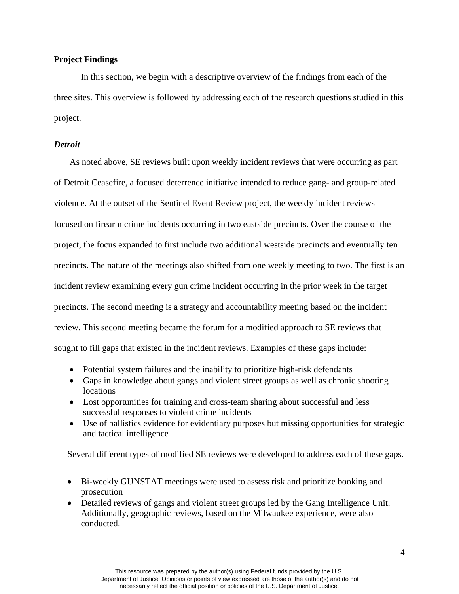### **Project Findings**

In this section, we begin with a descriptive overview of the findings from each of the three sites. This overview is followed by addressing each of the research questions studied in this project.

### *Detroit*

 violence. At the outset of the Sentinel Event Review project, the weekly incident reviews precincts. The nature of the meetings also shifted from one weekly meeting to two. The first is an precincts. The second meeting is a strategy and accountability meeting based on the incident review. This second meeting became the forum for a modified approach to SE reviews that sought to fill gaps that existed in the incident reviews. Examples of these gaps include: As noted above, SE reviews built upon weekly incident reviews that were occurring as part of Detroit Ceasefire, a focused deterrence initiative intended to reduce gang- and group-related focused on firearm crime incidents occurring in two eastside precincts. Over the course of the project, the focus expanded to first include two additional westside precincts and eventually ten incident review examining every gun crime incident occurring in the prior week in the target

- Potential system failures and the inability to prioritize high-risk defendants
- locations • Gaps in knowledge about gangs and violent street groups as well as chronic shooting
- Lost opportunities for training and cross-team sharing about successful and less successful responses to violent crime incidents
- Use of ballistics evidence for evidentiary purposes but missing opportunities for strategic and tactical intelligence

Several different types of modified SE reviews were developed to address each of these gaps.

- Bi-weekly GUNSTAT meetings were used to assess risk and prioritize booking and prosecution
- Additionally, geographic reviews, based on the Milwaukee experience, were also • Detailed reviews of gangs and violent street groups led by the Gang Intelligence Unit. conducted.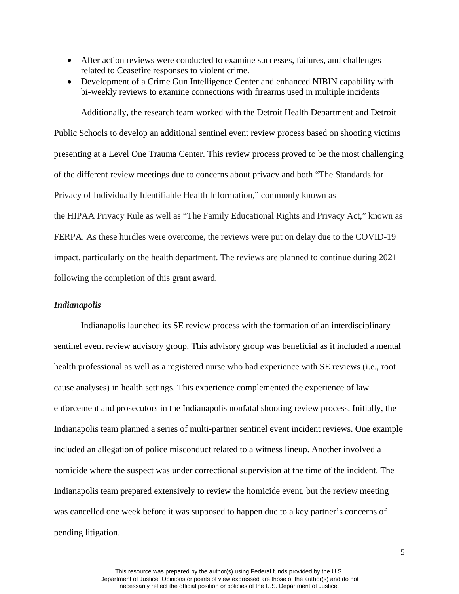- • After action reviews were conducted to examine successes, failures, and challenges related to Ceasefire responses to violent crime.
- Development of a Crime Gun Intelligence Center and enhanced NIBIN capability with bi-weekly reviews to examine connections with firearms used in multiple incidents

Additionally, the research team worked with the Detroit Health Department and Detroit Public Schools to develop an additional sentinel event review process based on shooting victims presenting at a Level One Trauma Center. This review process proved to be the most challenging of the different review meetings due to concerns about privacy and both "The Standards for Privacy of Individually Identifiable Health Information," commonly known as the HIPAA Privacy Rule as well as "The Family Educational Rights and Privacy Act," known as FERPA. As these hurdles were overcome, the reviews were put on delay due to the COVID-19 impact, particularly on the health department. The reviews are planned to continue during 2021 following the completion of this grant award.

### *Indianapolis*

 included an allegation of police misconduct related to a witness lineup. Another involved a homicide where the suspect was under correctional supervision at the time of the incident. The was cancelled one week before it was supposed to happen due to a key partner's concerns of Indianapolis launched its SE review process with the formation of an interdisciplinary sentinel event review advisory group. This advisory group was beneficial as it included a mental health professional as well as a registered nurse who had experience with SE reviews (i.e., root cause analyses) in health settings. This experience complemented the experience of law enforcement and prosecutors in the Indianapolis nonfatal shooting review process. Initially, the Indianapolis team planned a series of multi-partner sentinel event incident reviews. One example Indianapolis team prepared extensively to review the homicide event, but the review meeting pending litigation.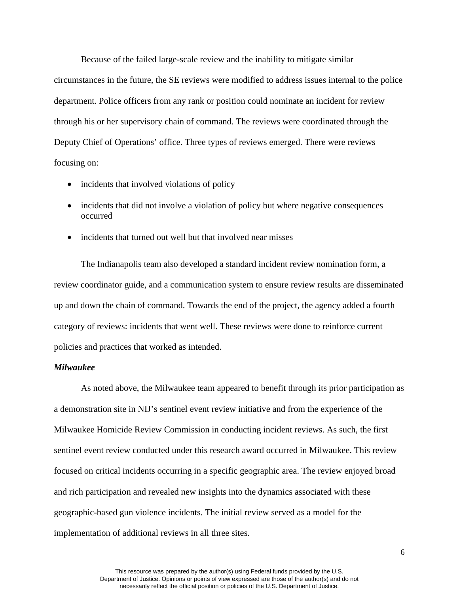circumstances in the future, the SE reviews were modified to address issues internal to the police department. Police officers from any rank or position could nominate an incident for review Because of the failed large-scale review and the inability to mitigate similar through his or her supervisory chain of command. The reviews were coordinated through the Deputy Chief of Operations' office. Three types of reviews emerged. There were reviews focusing on:

- incidents that involved violations of policy
- incidents that did not involve a violation of policy but where negative consequences occurred
- incidents that turned out well but that involved near misses

 review coordinator guide, and a communication system to ensure review results are disseminated up and down the chain of command. Towards the end of the project, the agency added a fourth The Indianapolis team also developed a standard incident review nomination form, a category of reviews: incidents that went well. These reviews were done to reinforce current policies and practices that worked as intended.

### *Milwaukee*

 As noted above, the Milwaukee team appeared to benefit through its prior participation as a demonstration site in NIJ's sentinel event review initiative and from the experience of the Milwaukee Homicide Review Commission in conducting incident reviews. As such, the first sentinel event review conducted under this research award occurred in Milwaukee. This review focused on critical incidents occurring in a specific geographic area. The review enjoyed broad and rich participation and revealed new insights into the dynamics associated with these geographic-based gun violence incidents. The initial review served as a model for the implementation of additional reviews in all three sites.

6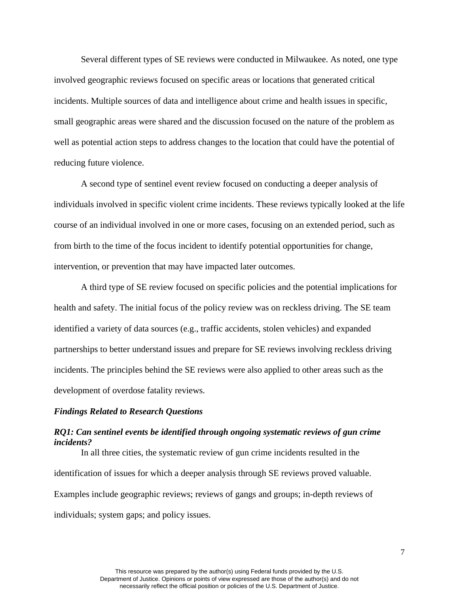Several different types of SE reviews were conducted in Milwaukee. As noted, one type involved geographic reviews focused on specific areas or locations that generated critical incidents. Multiple sources of data and intelligence about crime and health issues in specific, small geographic areas were shared and the discussion focused on the nature of the problem as well as potential action steps to address changes to the location that could have the potential of reducing future violence.

 A second type of sentinel event review focused on conducting a deeper analysis of individuals involved in specific violent crime incidents. These reviews typically looked at the life course of an individual involved in one or more cases, focusing on an extended period, such as from birth to the time of the focus incident to identify potential opportunities for change, intervention, or prevention that may have impacted later outcomes.

 A third type of SE review focused on specific policies and the potential implications for health and safety. The initial focus of the policy review was on reckless driving. The SE team identified a variety of data sources (e.g., traffic accidents, stolen vehicles) and expanded partnerships to better understand issues and prepare for SE reviews involving reckless driving incidents. The principles behind the SE reviews were also applied to other areas such as the development of overdose fatality reviews.

#### *Findings Related to Research Questions*

### *RQ1: Can sentinel events be identified through ongoing systematic reviews of gun crime incidents?*

 In all three cities, the systematic review of gun crime incidents resulted in the identification of issues for which a deeper analysis through SE reviews proved valuable. Examples include geographic reviews; reviews of gangs and groups; in-depth reviews of individuals; system gaps; and policy issues.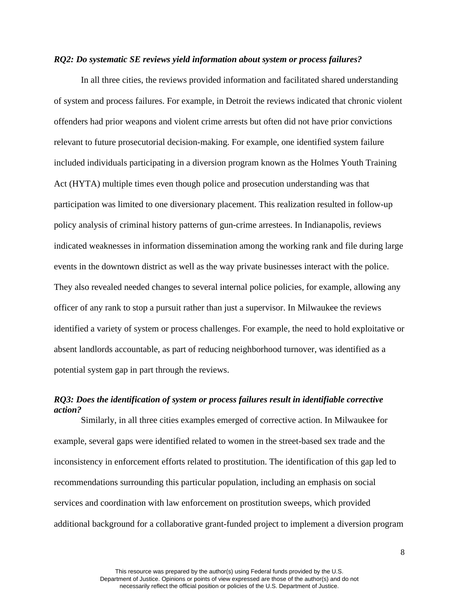#### *RQ2: Do systematic SE reviews yield information about system or process failures?*

 offenders had prior weapons and violent crime arrests but often did not have prior convictions events in the downtown district as well as the way private businesses interact with the police. In all three cities, the reviews provided information and facilitated shared understanding of system and process failures. For example, in Detroit the reviews indicated that chronic violent relevant to future prosecutorial decision-making. For example, one identified system failure included individuals participating in a diversion program known as the Holmes Youth Training Act (HYTA) multiple times even though police and prosecution understanding was that participation was limited to one diversionary placement. This realization resulted in follow-up policy analysis of criminal history patterns of gun-crime arrestees. In Indianapolis, reviews indicated weaknesses in information dissemination among the working rank and file during large They also revealed needed changes to several internal police policies, for example, allowing any officer of any rank to stop a pursuit rather than just a supervisor. In Milwaukee the reviews identified a variety of system or process challenges. For example, the need to hold exploitative or absent landlords accountable, as part of reducing neighborhood turnover, was identified as a potential system gap in part through the reviews.

# *RQ3: Does the identification of system or process failures result in identifiable corrective action?*

 example, several gaps were identified related to women in the street-based sex trade and the inconsistency in enforcement efforts related to prostitution. The identification of this gap led to Similarly, in all three cities examples emerged of corrective action. In Milwaukee for recommendations surrounding this particular population, including an emphasis on social services and coordination with law enforcement on prostitution sweeps, which provided additional background for a collaborative grant-funded project to implement a diversion program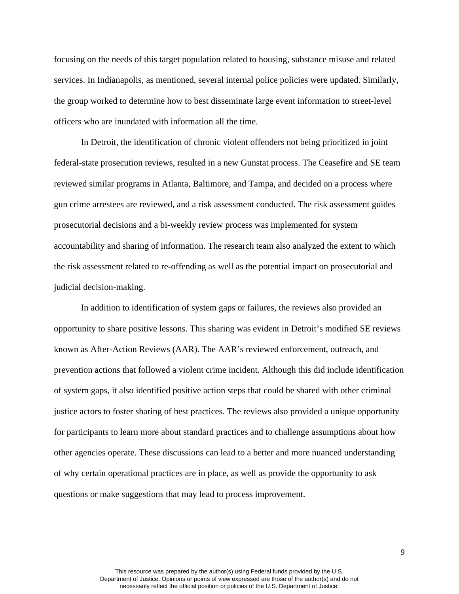focusing on the needs of this target population related to housing, substance misuse and related services. In Indianapolis, as mentioned, several internal police policies were updated. Similarly, the group worked to determine how to best disseminate large event information to street-level officers who are inundated with information all the time.

 federal-state prosecution reviews, resulted in a new Gunstat process. The Ceasefire and SE team accountability and sharing of information. The research team also analyzed the extent to which In Detroit, the identification of chronic violent offenders not being prioritized in joint reviewed similar programs in Atlanta, Baltimore, and Tampa, and decided on a process where gun crime arrestees are reviewed, and a risk assessment conducted. The risk assessment guides prosecutorial decisions and a bi-weekly review process was implemented for system the risk assessment related to re-offending as well as the potential impact on prosecutorial and judicial decision-making.

 opportunity to share positive lessons. This sharing was evident in Detroit's modified SE reviews prevention actions that followed a violent crime incident. Although this did include identification for participants to learn more about standard practices and to challenge assumptions about how questions or make suggestions that may lead to process improvement. In addition to identification of system gaps or failures, the reviews also provided an known as After-Action Reviews (AAR). The AAR's reviewed enforcement, outreach, and of system gaps, it also identified positive action steps that could be shared with other criminal justice actors to foster sharing of best practices. The reviews also provided a unique opportunity other agencies operate. These discussions can lead to a better and more nuanced understanding of why certain operational practices are in place, as well as provide the opportunity to ask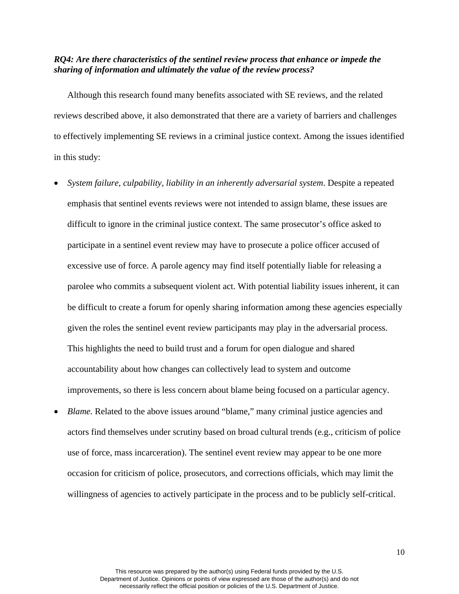### *RQ4: Are there characteristics of the sentinel review process that enhance or impede the sharing of information and ultimately the value of the review process?*

 reviews described above, it also demonstrated that there are a variety of barriers and challenges Although this research found many benefits associated with SE reviews, and the related to effectively implementing SE reviews in a criminal justice context. Among the issues identified in this study:

- • *System failure, culpability, liability in an inherently adversarial system*. Despite a repeated difficult to ignore in the criminal justice context. The same prosecutor's office asked to participate in a sentinel event review may have to prosecute a police officer accused of emphasis that sentinel events reviews were not intended to assign blame, these issues are excessive use of force. A parole agency may find itself potentially liable for releasing a parolee who commits a subsequent violent act. With potential liability issues inherent, it can be difficult to create a forum for openly sharing information among these agencies especially given the roles the sentinel event review participants may play in the adversarial process. This highlights the need to build trust and a forum for open dialogue and shared accountability about how changes can collectively lead to system and outcome improvements, so there is less concern about blame being focused on a particular agency.
- use of force, mass incarceration). The sentinel event review may appear to be one more *Blame.* Related to the above issues around "blame," many criminal justice agencies and actors find themselves under scrutiny based on broad cultural trends (e.g., criticism of police occasion for criticism of police, prosecutors, and corrections officials, which may limit the willingness of agencies to actively participate in the process and to be publicly self-critical.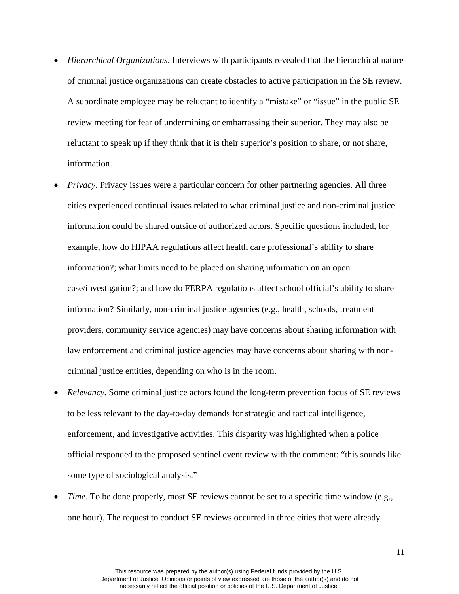- of criminal justice organizations can create obstacles to active participation in the SE review. of criminal justice organizations can create obstacles to active participation in the SE review. A subordinate employee may be reluctant to identify a "mistake" or "issue" in the public SE reluctant to speak up if they think that it is their superior's position to share, or not share, • *Hierarchical Organizations*. Interviews with participants revealed that the hierarchical nature review meeting for fear of undermining or embarrassing their superior. They may also be information.
- example, how do HIPAA regulations affect health care professional's ability to share *Privacy.* Privacy issues were a particular concern for other partnering agencies. All three cities experienced continual issues related to what criminal justice and non-criminal justice information could be shared outside of authorized actors. Specific questions included, for information?; what limits need to be placed on sharing information on an open case/investigation?; and how do FERPA regulations affect school official's ability to share information? Similarly, non-criminal justice agencies (e.g., health, schools, treatment providers, community service agencies) may have concerns about sharing information with law enforcement and criminal justice agencies may have concerns about sharing with noncriminal justice entities, depending on who is in the room.
- *Relevancy.* Some criminal justice actors found the long-term prevention focus of SE reviews to be less relevant to the day-to-day demands for strategic and tactical intelligence, enforcement, and investigative activities. This disparity was highlighted when a police official responded to the proposed sentinel event review with the comment: "this sounds like some type of sociological analysis."
- one hour). The request to conduct SE reviews occurred in three cities that were already *Time.* To be done properly, most SE reviews cannot be set to a specific time window (e.g.,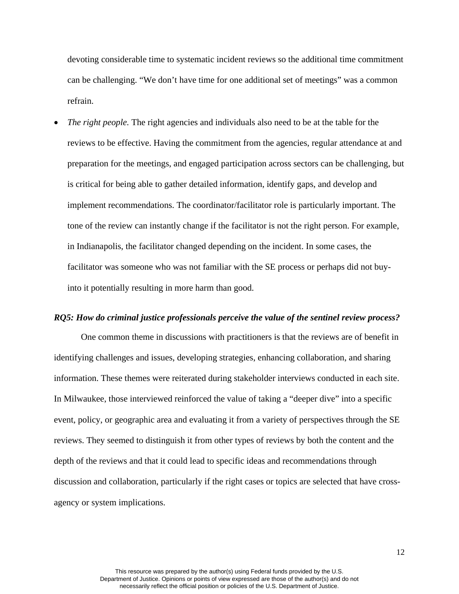can be challenging. "We don't have time for one additional set of meetings" was a common devoting considerable time to systematic incident reviews so the additional time commitment refrain.

 • *The right people.* The right agencies and individuals also need to be at the table for the reviews to be effective. Having the commitment from the agencies, regular attendance at and tone of the review can instantly change if the facilitator is not the right person. For example, preparation for the meetings, and engaged participation across sectors can be challenging, but is critical for being able to gather detailed information, identify gaps, and develop and implement recommendations. The coordinator/facilitator role is particularly important. The in Indianapolis, the facilitator changed depending on the incident. In some cases, the facilitator was someone who was not familiar with the SE process or perhaps did not buyinto it potentially resulting in more harm than good.

#### *RQ5: How do criminal justice professionals perceive the value of the sentinel review process?*

 In Milwaukee, those interviewed reinforced the value of taking a "deeper dive" into a specific depth of the reviews and that it could lead to specific ideas and recommendations through One common theme in discussions with practitioners is that the reviews are of benefit in identifying challenges and issues, developing strategies, enhancing collaboration, and sharing information. These themes were reiterated during stakeholder interviews conducted in each site. event, policy, or geographic area and evaluating it from a variety of perspectives through the SE reviews. They seemed to distinguish it from other types of reviews by both the content and the discussion and collaboration, particularly if the right cases or topics are selected that have crossagency or system implications.

12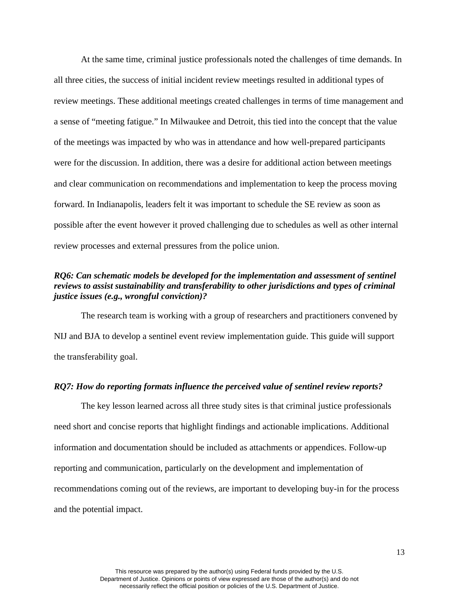At the same time, criminal justice professionals noted the challenges of time demands. In all three cities, the success of initial incident review meetings resulted in additional types of review meetings. These additional meetings created challenges in terms of time management and a sense of "meeting fatigue." In Milwaukee and Detroit, this tied into the concept that the value of the meetings was impacted by who was in attendance and how well-prepared participants were for the discussion. In addition, there was a desire for additional action between meetings and clear communication on recommendations and implementation to keep the process moving forward. In Indianapolis, leaders felt it was important to schedule the SE review as soon as possible after the event however it proved challenging due to schedules as well as other internal review processes and external pressures from the police union.

## *reviews to assist sustainability and transferability to other jurisdictions and types of criminal RQ6: Can schematic models be developed for the implementation and assessment of sentinel justice issues (e.g., wrongful conviction)?*

 The research team is working with a group of researchers and practitioners convened by NIJ and BJA to develop a sentinel event review implementation guide. This guide will support the transferability goal.

### *RQ7: How do reporting formats influence the perceived value of sentinel review reports?*

 need short and concise reports that highlight findings and actionable implications. Additional and the potential impact. The key lesson learned across all three study sites is that criminal justice professionals information and documentation should be included as attachments or appendices. Follow-up reporting and communication, particularly on the development and implementation of recommendations coming out of the reviews, are important to developing buy-in for the process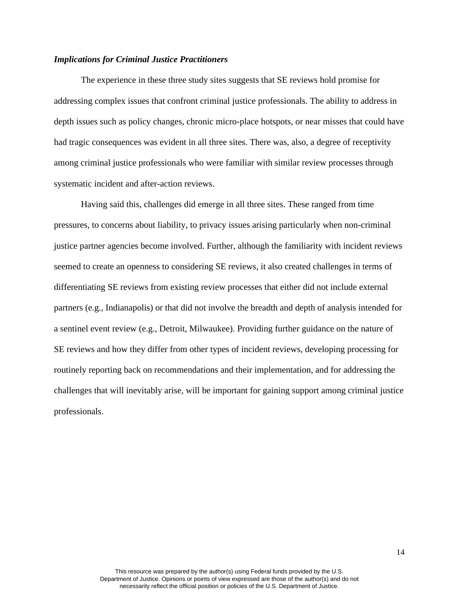### *Implications for Criminal Justice Practitioners*

 depth issues such as policy changes, chronic micro-place hotspots, or near misses that could have had tragic consequences was evident in all three sites. There was, also, a degree of receptivity among criminal justice professionals who were familiar with similar review processes through systematic incident and after-action reviews. systematic incident and after-action reviews. Having said this, challenges did emerge in all three sites. These ranged from time The experience in these three study sites suggests that SE reviews hold promise for addressing complex issues that confront criminal justice professionals. The ability to address in

 seemed to create an openness to considering SE reviews, it also created challenges in terms of differentiating SE reviews from existing review processes that either did not include external partners (e.g., Indianapolis) or that did not involve the breadth and depth of analysis intended for challenges that will inevitably arise, will be important for gaining support among criminal justice pressures, to concerns about liability, to privacy issues arising particularly when non-criminal justice partner agencies become involved. Further, although the familiarity with incident reviews a sentinel event review (e.g., Detroit, Milwaukee). Providing further guidance on the nature of SE reviews and how they differ from other types of incident reviews, developing processing for routinely reporting back on recommendations and their implementation, and for addressing the professionals.